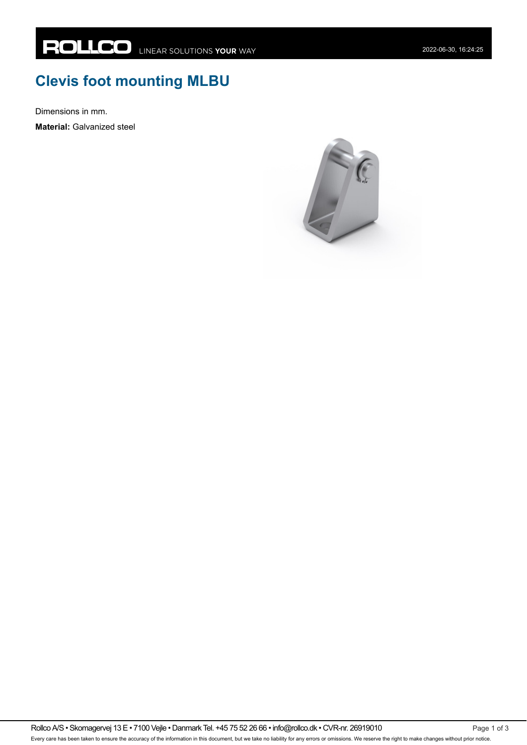## **Clevis foot mounting MLBU**

Dimensions in mm.

**Material:** Galvanized steel



Rollco A/S • Skomagervej 13 E • 7100 Vejle • Danmark Tel. +45 75 52 26 66 • info@rollco.dk • CVR-nr. 26919010 Every care has been taken to ensure the accuracy of the information in this document, but we take no liability for any errors or omissions. We reserve the right to make changes without prior notice.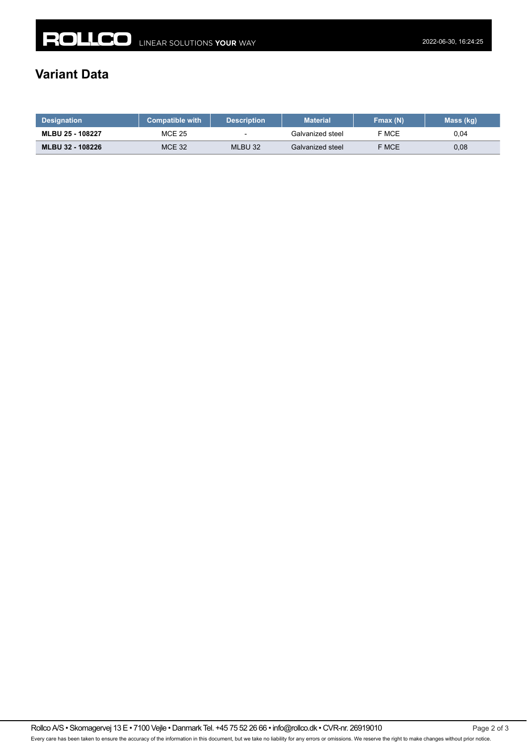## **Variant Data**

| <b>Designation</b> | <b>Compatible with</b> | <b>Description</b>       | <b>Material</b>  | Fmax(N) | Mass (kg) |
|--------------------|------------------------|--------------------------|------------------|---------|-----------|
| MLBU 25 - 108227   | <b>MCE 25</b>          | $\overline{\phantom{a}}$ | Galvanized steel | F MCE   | 0.04      |
| MLBU 32 - 108226   | MCE 32                 | MLBU 32                  | Galvanized steel | F MCE   | 0,08      |

Rollco A/S • Skomagervej 13 E • 7100 Vejle • Danmark Tel. +45 75 52 26 66 • info@rollco.dk • CVR-nr. 26919010